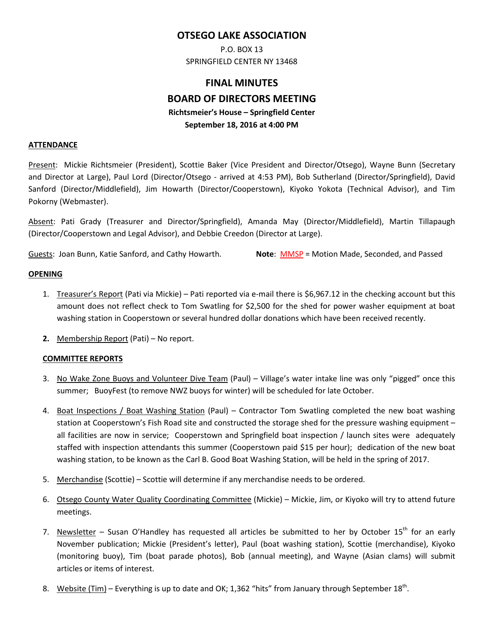# **OTSEGO LAKE ASSOCIATION**

P.O. BOX 13 SPRINGFIELD CENTER NY 13468

# **FINAL MINUTES BOARD OF DIRECTORS MEETING Richtsmeier's House – Springfield Center September 18, 2016 at 4:00 PM**

#### **ATTENDANCE**

Present: Mickie Richtsmeier (President), Scottie Baker (Vice President and Director/Otsego), Wayne Bunn (Secretary and Director at Large), Paul Lord (Director/Otsego - arrived at 4:53 PM), Bob Sutherland (Director/Springfield), David Sanford (Director/Middlefield), Jim Howarth (Director/Cooperstown), Kiyoko Yokota (Technical Advisor), and Tim Pokorny (Webmaster).

Absent: Pati Grady (Treasurer and Director/Springfield), Amanda May (Director/Middlefield), Martin Tillapaugh (Director/Cooperstown and Legal Advisor), and Debbie Creedon (Director at Large).

Guests: Joan Bunn, Katie Sanford, and Cathy Howarth. **Note**: MMSP = Motion Made, Seconded, and Passed

#### **OPENING**

- 1. Treasurer's Report (Pati via Mickie) Pati reported via e-mail there is \$6,967.12 in the checking account but this amount does not reflect check to Tom Swatling for \$2,500 for the shed for power washer equipment at boat washing station in Cooperstown or several hundred dollar donations which have been received recently.
- **2.** Membership Report (Pati) No report.

## **COMMITTEE REPORTS**

- 3. No Wake Zone Buoys and Volunteer Dive Team (Paul) Village's water intake line was only "pigged" once this summer; BuoyFest (to remove NWZ buoys for winter) will be scheduled for late October.
- 4. Boat Inspections / Boat Washing Station (Paul) Contractor Tom Swatling completed the new boat washing station at Cooperstown's Fish Road site and constructed the storage shed for the pressure washing equipment – all facilities are now in service; Cooperstown and Springfield boat inspection / launch sites were adequately staffed with inspection attendants this summer (Cooperstown paid \$15 per hour); dedication of the new boat washing station, to be known as the Carl B. Good Boat Washing Station, will be held in the spring of 2017.
- 5. Merchandise (Scottie) Scottie will determine if any merchandise needs to be ordered.
- 6. Otsego County Water Quality Coordinating Committee (Mickie) Mickie, Jim, or Kiyoko will try to attend future meetings.
- 7. Newsletter Susan O'Handley has requested all articles be submitted to her by October  $15<sup>th</sup>$  for an early November publication; Mickie (President's letter), Paul (boat washing station), Scottie (merchandise), Kiyoko (monitoring buoy), Tim (boat parade photos), Bob (annual meeting), and Wayne (Asian clams) will submit articles or items of interest.
- 8. Website (Tim) Everything is up to date and OK; 1,362 "hits" from January through September  $18<sup>th</sup>$ .